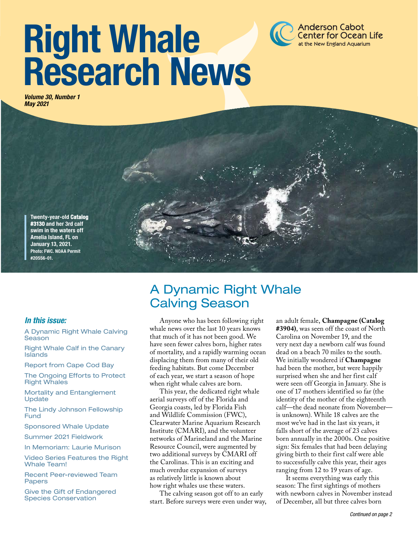# Right Whale Research News

*Volume 30, Number 1 May 2021*



#### *In this issue:*

A Dynamic Right Whale Calving Season

Right Whale Calf in the Canary Islands

Report from Cape Cod Bay

The Ongoing Efforts to Protect Right Whales

Mortality and Entanglement Update

The Lindy Johnson Fellowship Fund

Sponsored Whale Update

Summer 2021 Fieldwork

In Memoriam: Laurie Murison

Video Series Features the Right Whale Team!

Recent Peer-reviewed Team Papers

Give the Gift of Endangered Species Conservation

## A Dynamic Right Whale Calving Season

Anyone who has been following right whale news over the last 10 years knows that much of it has not been good. We have seen fewer calves born, higher rates of mortality, and a rapidly warming ocean displacing them from many of their old feeding habitats. But come December of each year, we start a season of hope when right whale calves are born.

This year, the dedicated right whale aerial surveys off of the Florida and Georgia coasts, led by Florida Fish and Wildlife Commission (FWC), Clearwater Marine Aquarium Research Institute (CMARI), and the volunteer networks of Marineland and the Marine Resource Council, were augmented by two additional surveys by CMARI off the Carolinas. This is an exciting and much overdue expansion of surveys as relatively little is known about how right whales use these waters.

The calving season got off to an early start. Before surveys were even under way, an adult female, **Champagne (Catalog #3904)**, was seen off the coast of North Carolina on November 19, and the very next day a newborn calf was found dead on a beach 70 miles to the south. We initially wondered if **Champagne** had been the mother, but were happily surprised when she and her first calf were seen off Georgia in January. She is one of 17 mothers identified so far (the identity of the mother of the eighteenth calf—the dead neonate from November is unknown). While 18 calves are the most we've had in the last six years, it falls short of the average of 23 calves born annually in the 2000s. One positive sign: Six females that had been delaying giving birth to their first calf were able to successfully calve this year, their ages ranging from 12 to 19 years of age.

**Anderson Cabot Center for Ocean Life** at the New England Aquarium

It seems everything was early this season: The first sightings of mothers with newborn calves in November instead of December, all but three calves born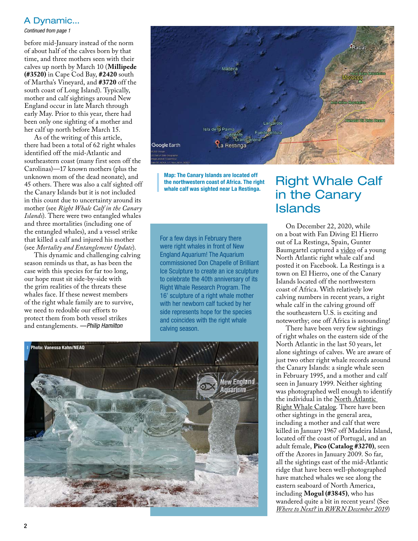#### A Dynamic...

*Continued from page 1*

before mid-January instead of the norm of about half of the calves born by that time, and three mothers seen with their calves up north by March 10 (**Millipede (#3520)** in Cape Cod Bay, **#2420** south of Martha's Vineyard, and **#3720** off the south coast of Long Island). Typically, mother and calf sightings around New England occur in late March through early May. Prior to this year, there had been only one sighting of a mother and her calf up north before March 15.

As of the writing of this article, there had been a total of 62 right whales identified off the mid-Atlantic and southeastern coast (many first seen off the Carolinas)—17 known mothers (plus the unknown mom of the dead neonate), and 45 others. There was also a calf sighted off the Canary Islands but it is not included in this count due to uncertainty around its mother (see *Right Whale Calf in the Canary Islands*). There were two entangled whales and three mortalities (including one of the entangled whales), and a vessel strike that killed a calf and injured his mother (see *Mortality and Entanglement Update*).

This dynamic and challenging calving season reminds us that, as has been the case with this species for far too long, our hope must sit side-by-side with the grim realities of the threats these whales face. If these newest members of the right whale family are to survive, we need to redouble our efforts to protect them from both vessel strikes and entanglements. *—Philip Hamilton*



Map: The Canary Islands are located off the northwestern coast of Africa. The right whale calf was sighted near La Restinga.

For a few days in February there were right whales in front of New England Aquarium! The Aquarium commissioned Don Chapelle of Brilliant Ice Sculpture to create an ice sculpture to celebrate the 40th anniversary of its Right Whale Research Program. The 16' sculpture of a right whale mother with her newborn calf tucked by her side represents hope for the species and coincides with the right whale calving season.



## Right Whale Calf in the Canary Islands

On December 22, 2020, while on a boat with Fan Diving El Hierro out of La Restinga, Spain, Gunter Baumgartel captured a [video](https://www.facebook.com/1202708786/posts/10224640760385426/) of a young North Atlantic right whale calf and posted it on Facebook. La Restinga is a town on El Hierro, one of the Canary Islands located off the northwestern coast of Africa. With relatively low calving numbers in recent years, a right whale calf in the calving ground off the southeastern U.S. is exciting and noteworthy; one off Africa is astounding!

There have been very few sightings of right whales on the eastern side of the North Atlantic in the last 50 years, let alone sightings of calves. We are aware of just two other right whale records around the Canary Islands: a single whale seen in February 1995, and a mother and calf seen in January 1999. Neither sighting was photographed well enough to identify the individual in the [North Atlantic](http://rwcatalog.neaq.org/)  [Right Whale Catalog](http://rwcatalog.neaq.org/). There have been other sightings in the general area, including a mother and calf that were killed in January 1967 off Madeira Island, located off the coast of Portugal, and an adult female, **Pico (Catalog #3270)**, seen off the Azores in January 2009. So far, all the sightings east of the mid-Atlantic ridge that have been well-photographed have matched whales we see along the eastern seaboard of North America, including **Mogul (#3845)**, who has wandered quite a bit in recent years! (See *Where to Next?* in *[RWRN December 2019](http://www.andersoncabotcenterforoceanlife.org/wp-content/uploads/2020/07/RightWhaleResearchNewsletter_December2019.pdf)*)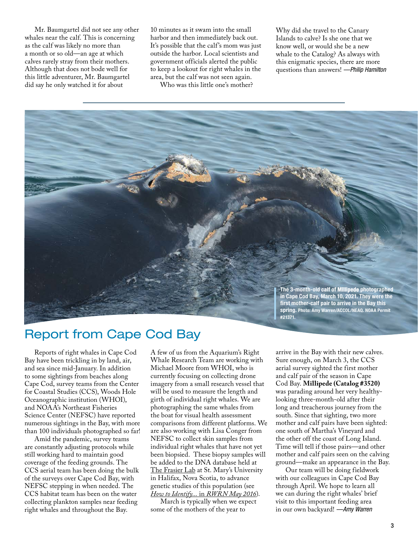Mr. Baumgartel did not see any other whales near the calf. This is concerning as the calf was likely no more than a month or so old—an age at which calves rarely stray from their mothers. Although that does not bode well for this little adventurer, Mr. Baumgartel did say he only watched it for about

10 minutes as it swam into the small harbor and then immediately back out. It's possible that the calf's mom was just outside the harbor. Local scientists and government officials alerted the public to keep a lookout for right whales in the area, but the calf was not seen again.

Who was this little one's mother?

Why did she travel to the Canary Islands to calve? Is she one that we know well, or would she be a new whale to the Catalog? As always with this enigmatic species, there are more questions than answers! *—Philip Hamilton*



## Report from Cape Cod Bay

Reports of right whales in Cape Cod Bay have been trickling in by land, air, and sea since mid-January. In addition to some sightings from beaches along Cape Cod, survey teams from the Center for Coastal Studies (CCS), Woods Hole Oceanographic institution (WHOI), and NOAA's Northeast Fisheries Science Center (NEFSC) have reported numerous sightings in the Bay, with more than 100 individuals photographed so far!

Amid the pandemic, survey teams are constantly adjusting protocols while still working hard to maintain good coverage of the feeding grounds. The CCS aerial team has been doing the bulk of the surveys over Cape Cod Bay, with NEFSC stepping in when needed. The CCS habitat team has been on the water collecting plankton samples near feeding right whales and throughout the Bay.

A few of us from the Aquarium's Right Whale Research Team are working with Michael Moore from WHOI, who is currently focusing on collecting drone imagery from a small research vessel that will be used to measure the length and girth of individual right whales. We are photographing the same whales from the boat for visual health assessment comparisons from different platforms. We are also working with Lisa Conger from NEFSC to collect skin samples from individual right whales that have not yet been biopsied. These biopsy samples will be added to the DNA database held at [The Frasier Lab](https://timothyfrasier.github.io/research) at St. Mary's University in Halifax, Nova Scotia, to advance genetic studies of this population (see *How to Identify...* in *[RWRN May 2016](http://www.andersoncabotcenterforoceanlife.org/wp-content/uploads/2017/05/RWRN_Vol25No.1_May2016.pdf)*).

March is typically when we expect some of the mothers of the year to

arrive in the Bay with their new calves. Sure enough, on March 3, the CCS aerial survey sighted the first mother and calf pair of the season in Cape Cod Bay. **Millipede (Catalog #3520)** was parading around her very healthylooking three-month-old after their long and treacherous journey from the south. Since that sighting, two more mother and calf pairs have been sighted: one south of Martha's Vineyard and the other off the coast of Long Island. Time will tell if those pairs—and other mother and calf pairs seen on the calving ground—make an appearance in the Bay.

Our team will be doing fieldwork with our colleagues in Cape Cod Bay through April. We hope to learn all we can during the right whales' brief visit to this important feeding area in our own backyard! *—Amy Warren*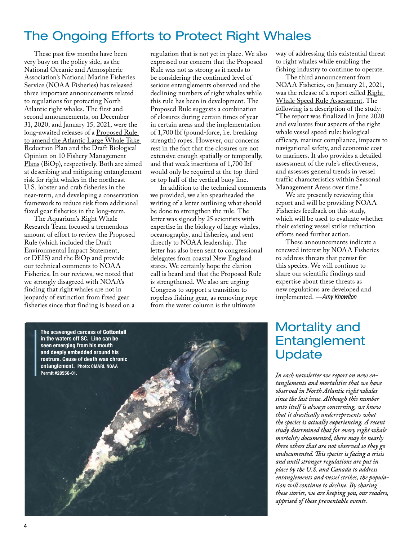## The Ongoing Efforts to Protect Right Whales

These past few months have been very busy on the policy side, as the National Oceanic and Atmospheric Association's National Marine Fisheries Service (NOAA Fisheries) has released three important announcements related to regulations for protecting North Atlantic right whales. The first and second announcements, on December 31, 2020, and January 15, 2021, were the long-awaited releases of a [Proposed Rule](https://www.fisheries.noaa.gov/action/proposed-rule-amend-atlantic-large-whale-take-reduction-plan-reduce-risk-serious-injury-and)  [to amend the Atlantic Large Whale Take](https://www.fisheries.noaa.gov/action/proposed-rule-amend-atlantic-large-whale-take-reduction-plan-reduce-risk-serious-injury-and)  [Reduction Plan](https://www.fisheries.noaa.gov/action/proposed-rule-amend-atlantic-large-whale-take-reduction-plan-reduce-risk-serious-injury-and) and the [Draft Biological](https://www.fisheries.noaa.gov/bulletin/draft-biological-opinion-10-fishery-management-plans-released)  [Opinion on 10 Fishery Management](https://www.fisheries.noaa.gov/bulletin/draft-biological-opinion-10-fishery-management-plans-released)  [Plans](https://www.fisheries.noaa.gov/bulletin/draft-biological-opinion-10-fishery-management-plans-released) (BiOp), respectively. Both are aimed at describing and mitigating entanglement risk for right whales in the northeast U.S. lobster and crab fisheries in the near-term, and developing a conservation framework to reduce risk from additional fixed gear fisheries in the long-term.

The Aquarium's Right Whale Research Team focused a tremendous amount of effort to review the Proposed Rule (which included the Draft Environmental Impact Statement, or DEIS) and the BiOp and provide our technical comments to NOAA Fisheries. In our reviews, we noted that we strongly disagreed with NOAA's finding that right whales are not in jeopardy of extinction from fixed gear fisheries since that finding is based on a regulation that is not yet in place. We also expressed our concern that the Proposed Rule was not as strong as it needs to be considering the continued level of serious entanglements observed and the declining numbers of right whales while this rule has been in development. The Proposed Rule suggests a combination of closures during certain times of year in certain areas and the implementation of 1,700 lbf (pound-force, i.e. breaking strength) ropes. However, our concerns rest in the fact that the closures are not extensive enough spatially or temporally, and that weak insertions of 1,700 lbf would only be required at the top third or top half of the vertical buoy line.

In addition to the technical comments we provided, we also spearheaded the writing of a letter outlining what should be done to strengthen the rule. The letter was signed by 25 scientists with expertise in the biology of large whales, oceanography, and fisheries, and sent directly to NOAA leadership. The letter has also been sent to congressional delegates from coastal New England states. We certainly hope the clarion call is heard and that the Proposed Rule is strengthened. We also are urging Congress to support a transition to ropeless fishing gear, as removing rope from the water column is the ultimate

way of addressing this existential threat to right whales while enabling the fishing industry to continue to operate.

The third announcement from NOAA Fisheries, on January 21, 2021, was the release of a report called Right [Whale Speed Rule Assessment.](https://www.fisheries.noaa.gov/national/endangered-species-conservation/reducing-vessel-strikes-north-atlantic-right-whales) The following is a description of the study: "The report was finalized in June 2020 and evaluates four aspects of the right whale vessel speed rule: biological efficacy, mariner compliance, impacts to navigational safety, and economic cost to mariners. It also provides a detailed assessment of the rule's effectiveness, and assesses general trends in vessel traffic characteristics within Seasonal Management Areas over time."

We are presently reviewing this report and will be providing NOAA Fisheries feedback on this study, which will be used to evaluate whether their existing vessel strike reduction efforts need further action.

These announcements indicate a renewed interest by NOAA Fisheries to address threats that persist for this species. We will continue to share our scientific findings and expertise about these threats as new regulations are developed and implemented. *—Amy Knowlton*

## Mortality and Entanglement Update

*In each newsletter we report on new entanglements and mortalities that we have observed in North Atlantic right whales since the last issue. Although this number unto itself is always concerning, we know that it drastically underrepresents what the species is actually experiencing. A recent study determined that for every right whale mortality documented, there may be nearly three others that are not observed so they go undocumented. This species is facing a crisis and until stronger regulations are put in place by the U.S. and Canada to address entanglements and vessel strikes, the population will continue to decline. By sharing these stories, we are keeping you, our readers, apprised of these preventable events.*

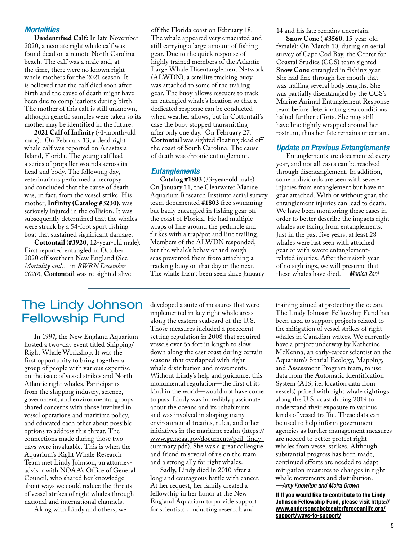#### *Mortalities*

**Unidentified Calf:** In late November 2020, a neonate right whale calf was found dead on a remote North Carolina beach. The calf was a male and, at the time, there were no known right whale mothers for the 2021 season. It is believed that the calf died soon after birth and the cause of death might have been due to complications during birth. The mother of this calf is still unknown, although genetic samples were taken so its mother may be identified in the future.

**2021 Calf of Infinity** (~1-month-old male): On February 13, a dead right whale calf was reported on Anastasia Island, Florida. The young calf had a series of propeller wounds across its head and body. The following day, veterinarians performed a necropsy and concluded that the cause of death was, in fact, from the vessel strike. His mother, **Infinity (Catalog #3230)**, was seriously injured in the collision. It was subsequently determined that the whales were struck by a 54-foot sport fishing boat that sustained significant damage.

**Cottontail** (**#3920**, 12-year-old male): First reported entangled in October 2020 off southern New England (See *Mortality and…* in *RWRN December 2020*), **Cottontail** was re-sighted alive

off the Florida coast on February 18. The whale appeared very emaciated and still carrying a large amount of fishing gear. Due to the quick response of highly trained members of the Atlantic Large Whale Disentanglement Network (ALWDN), a satellite tracking buoy was attached to some of the trailing gear. The buoy allows rescuers to track an entangled whale's location so that a dedicated response can be conducted when weather allows, but in Cottontail's case the buoy stopped transmitting after only one day. On February 27, **Cottontail** was sighted floating dead off the coast of South Carolina. The cause of death was chronic entanglement.

#### *Entanglements*

**Catalog #1803** (33-year-old male): On January 11, the Clearwater Marine Aquarium Research Institute aerial survey team documented **#1803** free swimming but badly entangled in fishing gear off the coast of Florida. He had multiple wraps of line around the peduncle and flukes with a trap/pot and line trailing. Members of the ALWDN responded, but the whale's behavior and rough seas prevented them from attaching a tracking buoy on that day or the next. The whale hasn't been seen since January

14 and his fate remains uncertain.

**Snow Cone** ( **#3560**, 15-year-old female): On March 10, during an aerial survey of Cape Cod Bay, the Center for Coastal Studies (CCS) team sighted **Snow Cone** entangled in fishing gear. She had line through her mouth that was trailing several body lengths. She was partially disentangled by the CCS's Marine Animal Entanglement Response team before deteriorating sea conditions halted further efforts. She may still have line tightly wrapped around her rostrum, thus her fate remains uncertain.

#### *Update on Previous Entanglements*

Entanglements are documented every year, and not all cases can be resolved through disentanglement. In addition, some individuals are seen with severe injuries from entanglement but have no gear attached. With or without gear, the entanglement injuries can lead to death. We have been monitoring these cases in order to better describe the impacts right whales are facing from entanglements. Just in the past five years, at least 28 whales were last seen with attached gear or with severe entanglementrelated injuries. After their sixth year of no sightings, we will presume that these whales have died. *—Monica Zani*

### The Lindy Johnson Fellowship Fund

In 1997, the New England Aquarium hosted a two-day event titled Shipping/ Right Whale Workshop. It was the first opportunity to bring together a group of people with various expertise on the issue of vessel strikes and North Atlantic right whales. Participants from the shipping industry, science, government, and environmental groups shared concerns with those involved in vessel operations and maritime policy, and educated each other about possible options to address this threat. The connections made during those two days were invaluable. This is when the Aquarium's Right Whale Research Team met Lindy Johnson, an attorneyadvisor with NOAA's Office of General Council, who shared her knowledge about ways we could reduce the threats of vessel strikes of right whales through national and international channels.

Along with Lindy and others, we

developed a suite of measures that were implemented in key right whale areas along the eastern seaboard of the U.S. Those measures included a precedentsetting regulation in 2008 that required vessels over 65 feet in length to slow down along the east coast during certain seasons that overlapped with right whale distribution and movements. Without Lindy's help and guidance, this monumental regulation—the first of its kind in the world—would not have come to pass. Lindy was incredibly passionate about the oceans and its inhabitants and was involved in shaping many environmental treaties, rules, and other initiatives in the maritime realm ([https://](https://www.gc.noaa.gov/documents/gcil_lindy_summary.pdf) [www.gc.noaa.gov/documents/gcil\\_lindy\\_](https://www.gc.noaa.gov/documents/gcil_lindy_summary.pdf) [summary.pdf\)](https://www.gc.noaa.gov/documents/gcil_lindy_summary.pdf). She was a great colleague and friend to several of us on the team and a strong ally for right whales.

Sadly, Lindy died in 2010 after a long and courageous battle with cancer. At her request, her family created a fellowship in her honor at the New England Aquarium to provide support for scientists conducting research and

training aimed at protecting the ocean. The Lindy Johnson Fellowship Fund has been used to support projects related to the mitigation of vessel strikes of right whales in Canadian waters. We currently have a project underway by Katherine McKenna, an early-career scientist on the Aquarium's Spatial Ecology, Mapping, and Assessment Program team, to use data from the Automatic Identification System (AIS, i.e. location data from vessels) paired with right whale sightings along the U.S. coast during 2019 to understand their exposure to various kinds of vessel traffic. These data can be used to help inform government agencies as further management measures are needed to better protect right whales from vessel strikes. Although substantial progress has been made, continued efforts are needed to adapt mitigation measures to changes in right whale movements and distribution. *—Amy Knowlton and Moira Brown*

If If you would like to contribute to the Lindy Johnson Fellowship Fund, please visit [https://](https://www.andersoncabotcenterforoceanlife.org/support/ways-to-support/) [www.andersoncabotcenterforoceanlife.org/](https://www.andersoncabotcenterforoceanlife.org/support/ways-to-support/) [support/ways-to-support/](https://www.andersoncabotcenterforoceanlife.org/support/ways-to-support/)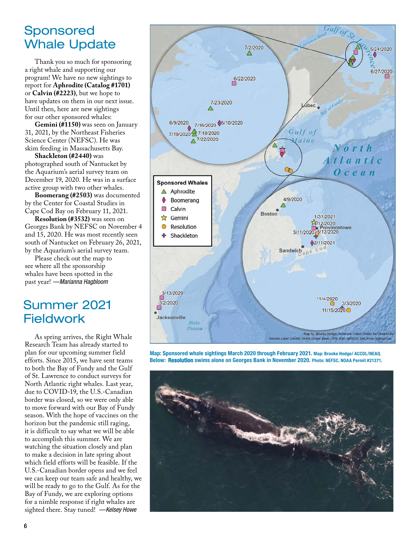### Sponsored Whale Update

Thank you so much for sponsoring a right whale and supporting our program! We have no new sightings to report for **Aphrodite (Catalog #1701)**  or **Calvin (#2223)**, but we hope to have updates on them in our next issue. Until then, here are new sightings for our other sponsored whales:

**Gemini (#1150)** was seen on January 31, 2021, by the Northeast Fisheries Science Center (NEFSC). He was skim feeding in Massachusetts Bay.

**Shackleton (#2440)** was photographed south of Nantucket by the Aquarium's aerial survey team on December 19, 2020. He was in a surface active group with two other whales.

**Boomerang (#2503)** was documented by the Center for Coastal Studies in Cape Cod Bay on February 11, 2021.

**Resolution (#3532)** was seen on Georges Bank by NEFSC on November 4 and 15, 2020. He was most recently seen south of Nantucket on February 26, 2021, by the Aquarium's aerial survey team.

Please check out the map to see where all the sponsorship whales have been spotted in the past year! *—Marianna Hagbloom*

## Summer 2021 **Fieldwork**

As spring arrives, the Right Whale Research Team has already started to plan for our upcoming summer field efforts. Since 2015, we have sent teams to both the Bay of Fundy and the Gulf of St. Lawrence to conduct surveys for North Atlantic right whales. Last year, due to COVID-19, the U.S.-Canadian border was closed, so we were only able to move forward with our Bay of Fundy season. With the hope of vaccines on the horizon but the pandemic still raging, it is difficult to say what we will be able to accomplish this summer. We are watching the situation closely and plan to make a decision in late spring about which field efforts will be feasible. If the U.S.-Canadian border opens and we feel we can keep our team safe and healthy, we will be ready to go to the Gulf. As for the Bay of Fundy, we are exploring options for a nimble response if right whales are sighted there. Stay tuned! *—Kelsey Howe*



Map: Sponsored whale sightings March 2020 through February 2021. Map: Brooke Hodge/ ACCOL/NEAQ. Below: Resolution swims alone on Georges Bank in November 2020. Photo: NEFSC. NOAA Permit #21371.

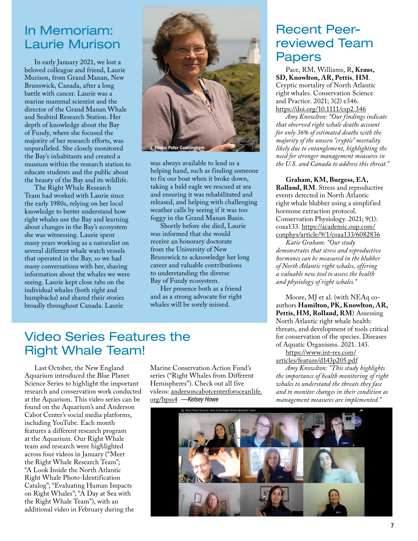### In Memoriam: Laurie Murison

beloved colleague and friend, Laurie Murison, from Grand Manan, New Brunswick, Canada, after a long battle with cancer. Laurie was a marine mammal scientist and the director of the Grand Manan Whale and Seabird Research Station. Her depth of knowledge about the Bay of Fundy, where she focused the majority of her research efforts, was unparalleled. She closely monitored the Bay's inhabitants and created a museum within the research station to educate students and the public about the beauty of the Bay and its wildlife.

The Right Whale Research Team had worked with Laurie since the early 1980s, relying on her local knowledge to better understand how right whales use the Bay and learning about changes in the Bay's ecosystem she was witnessing. Laurie spent many years working as a naturalist on several different whale watch vessels that operated in the Bay, so we had many conversations with her, sharing information about the whales we were seeing. Laurie kept close tabs on the individual whales (both right and humpbacks) and shared their stories broadly throughout Canada. Laurie



was always available to lend us a helping hand, such as finding someone to fix our boat when it broke down, taking a bald eagle we rescued at sea and ensuring it was rehabilitated and released, and helping with challenging weather calls by seeing if it was too foggy in the Grand Manan Basin.

Shortly before she died, Laurie was informed that she would receive an honorary doctorate from the University of New Brunswick to acknowledge her long career and valuable contributions to understanding the diverse Bay of Fundy ecosystem.

Her presence both as a friend and as a strong advocate for right whales will be sorely missed.

# Recent Peerreviewed Team

Pace, RM, Williams, R**, Kraus, SD, Knowlton, AR, Pettis**, **HM**. Cryptic mortality of North Atlantic right whales. Conservation Science and Practice. 2021; 3(2) e346. <https://doi.org/10.1111/csp2.346>

*Amy Knowlton: "Our findings indicate that observed right whale deaths account for only 36% of estimated deaths with the majority of the unseen "cryptic" mortality likely due to entanglement, highlighting the need for stronger management measures in the U.S. and Canada to address this threat."*

**Graham, KM, Burgess, EA, Rolland, RM**. Stress and reproductive events detected in North Atlantic right whale blubber using a simplified hormone extraction protocol. Conservation Physiology. 2021; 9(1): coaa133. [https://academic.oup.com/](https://academic.oup.com/conphys/article/9/1/coaa133/6082836) [conphys/article/9/1/coaa133/6082836](https://academic.oup.com/conphys/article/9/1/coaa133/6082836)

*Katie Graham: "Our study demonstrates that stress and reproductive hormones can be measured in the blubber of North Atlantic right whales, offering a valuable new tool to assess the health and physiology of right whales."*

Moore, MJ et al. (with NEAq coauthors **Hamilton, PK, Knowlton, AR, Pettis, HM, Rolland, RM**) Assessing North Atlantic right whale health: threats, and development of tools critical for conservation of the species. Diseases of Aquatic Organisms. 2021. 143.

[https://www.int-res.com/](https://www.int-res.com/articles/feature/d143p205.pdf) [articles/feature/d143p205.pdf](https://www.int-res.com/articles/feature/d143p205.pdf)

*Amy Knowlton: "This study highlights the importance of health monitoring of right whales to understand the threats they face and to monitor changes in their condition as management measures are implemented."*



## Video Series Features the Right Whale Team!

Last October, the New England Aquarium introduced the Blue Planet Science Series to highlight the important research and conservation work conducted at the Aquarium. This video series can be found on the Aquarium's and Anderson Cabot Center's social media platforms, including YouTube. Each month features a different research program at the Aquarium. Our Right Whale team and research were highlighted across four videos in January ("Meet the Right Whale Research Team"; "A Look Inside the North Atlantic Right Whale Photo-Identification Catalog"; "Evaluating Human Impacts on Right Whales"; "A Day at Sea with the Right Whale Team"), with an additional video in February during the

Marine Conservation Action Fund's series ("Right Whales from Different Hemispheres"). Check out all five videos: [andersoncabotcenterforoceanlife.](https://www.andersoncabotcenterforoceanlife.org/bpss4) [org/bpss4](https://www.andersoncabotcenterforoceanlife.org/bpss4) *—Kelsey Howe*